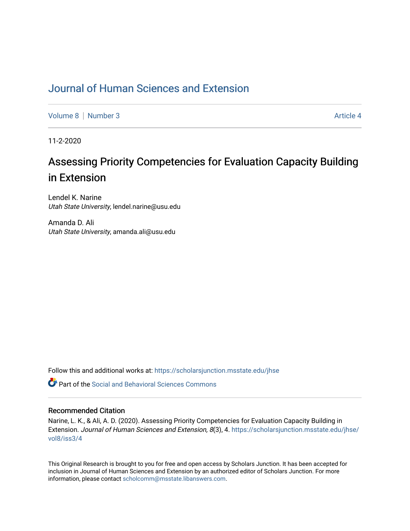# [Journal of Human Sciences and Extension](https://scholarsjunction.msstate.edu/jhse)

[Volume 8](https://scholarsjunction.msstate.edu/jhse/vol8) | [Number 3](https://scholarsjunction.msstate.edu/jhse/vol8/iss3) Article 4

11-2-2020

# Assessing Priority Competencies for Evaluation Capacity Building in Extension

Lendel K. Narine Utah State University, lendel.narine@usu.edu

Amanda D. Ali Utah State University, amanda.ali@usu.edu

Follow this and additional works at: [https://scholarsjunction.msstate.edu/jhse](https://scholarsjunction.msstate.edu/jhse?utm_source=scholarsjunction.msstate.edu%2Fjhse%2Fvol8%2Fiss3%2F4&utm_medium=PDF&utm_campaign=PDFCoverPages)

 $\bullet$  Part of the Social and Behavioral Sciences Commons

#### Recommended Citation

Narine, L. K., & Ali, A. D. (2020). Assessing Priority Competencies for Evaluation Capacity Building in Extension. Journal of Human Sciences and Extension, 8(3), 4. [https://scholarsjunction.msstate.edu/jhse/](https://scholarsjunction.msstate.edu/jhse/vol8/iss3/4?utm_source=scholarsjunction.msstate.edu%2Fjhse%2Fvol8%2Fiss3%2F4&utm_medium=PDF&utm_campaign=PDFCoverPages) [vol8/iss3/4](https://scholarsjunction.msstate.edu/jhse/vol8/iss3/4?utm_source=scholarsjunction.msstate.edu%2Fjhse%2Fvol8%2Fiss3%2F4&utm_medium=PDF&utm_campaign=PDFCoverPages) 

This Original Research is brought to you for free and open access by Scholars Junction. It has been accepted for inclusion in Journal of Human Sciences and Extension by an authorized editor of Scholars Junction. For more information, please contact [scholcomm@msstate.libanswers.com](mailto:scholcomm@msstate.libanswers.com).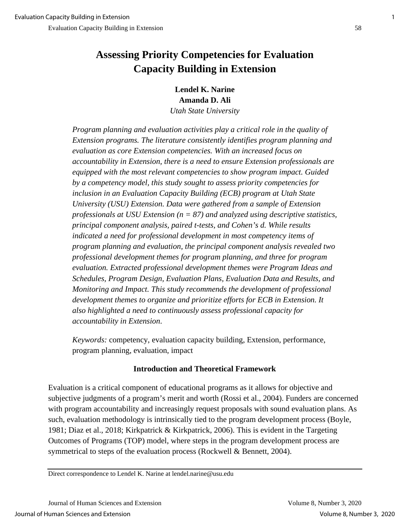# **Assessing Priority Competencies for Evaluation Capacity Building in Extension**

**Lendel K. Narine Amanda D. Ali**

*Utah State University*

*Program planning and evaluation activities play a critical role in the quality of Extension programs. The literature consistently identifies program planning and evaluation as core Extension competencies. With an increased focus on accountability in Extension, there is a need to ensure Extension professionals are equipped with the most relevant competencies to show program impact. Guided by a competency model, this study sought to assess priority competencies for inclusion in an Evaluation Capacity Building (ECB) program at Utah State University (USU) Extension. Data were gathered from a sample of Extension professionals at USU Extension (n = 87) and analyzed using descriptive statistics, principal component analysis, paired t-tests, and Cohen's d. While results indicated a need for professional development in most competency items of program planning and evaluation, the principal component analysis revealed two professional development themes for program planning, and three for program evaluation. Extracted professional development themes were Program Ideas and Schedules, Program Design, Evaluation Plans, Evaluation Data and Results, and Monitoring and Impact. This study recommends the development of professional development themes to organize and prioritize efforts for ECB in Extension. It also highlighted a need to continuously assess professional capacity for accountability in Extension*.

*Keywords:* competency, evaluation capacity building, Extension, performance, program planning, evaluation, impact

## **Introduction and Theoretical Framework**

Evaluation is a critical component of educational programs as it allows for objective and subjective judgments of a program's merit and worth (Rossi et al., 2004). Funders are concerned with program accountability and increasingly request proposals with sound evaluation plans. As such, evaluation methodology is intrinsically tied to the program development process (Boyle, 1981; Diaz et al., 2018; Kirkpatrick & Kirkpatrick, 2006). This is evident in the Targeting Outcomes of Programs (TOP) model, where steps in the program development process are symmetrical to steps of the evaluation process (Rockwell & Bennett, 2004).

Direct correspondence to Lendel K. Narine at lendel.narine@usu.edu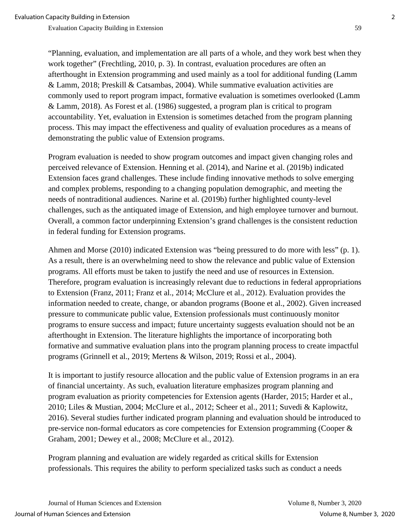"Planning, evaluation, and implementation are all parts of a whole, and they work best when they work together" (Frechtling, 2010, p. 3). In contrast, evaluation procedures are often an afterthought in Extension programming and used mainly as a tool for additional funding (Lamm & Lamm, 2018; Preskill & Catsambas, 2004). While summative evaluation activities are commonly used to report program impact, formative evaluation is sometimes overlooked (Lamm & Lamm, 2018). As Forest et al. (1986) suggested, a program plan is critical to program accountability. Yet, evaluation in Extension is sometimes detached from the program planning process. This may impact the effectiveness and quality of evaluation procedures as a means of demonstrating the public value of Extension programs.

Program evaluation is needed to show program outcomes and impact given changing roles and perceived relevance of Extension. Henning et al. (2014), and Narine et al. (2019b) indicated Extension faces grand challenges. These include finding innovative methods to solve emerging and complex problems, responding to a changing population demographic, and meeting the needs of nontraditional audiences. Narine et al. (2019b) further highlighted county-level challenges, such as the antiquated image of Extension, and high employee turnover and burnout. Overall, a common factor underpinning Extension's grand challenges is the consistent reduction in federal funding for Extension programs.

Ahmen and Morse (2010) indicated Extension was "being pressured to do more with less" (p. 1). As a result, there is an overwhelming need to show the relevance and public value of Extension programs. All efforts must be taken to justify the need and use of resources in Extension. Therefore, program evaluation is increasingly relevant due to reductions in federal appropriations to Extension (Franz, 2011; Franz et al., 2014; McClure et al., 2012). Evaluation provides the information needed to create, change, or abandon programs (Boone et al., 2002). Given increased pressure to communicate public value, Extension professionals must continuously monitor programs to ensure success and impact; future uncertainty suggests evaluation should not be an afterthought in Extension. The literature highlights the importance of incorporating both formative and summative evaluation plans into the program planning process to create impactful programs (Grinnell et al., 2019; Mertens & Wilson, 2019; Rossi et al., 2004).

It is important to justify resource allocation and the public value of Extension programs in an era of financial uncertainty. As such, evaluation literature emphasizes program planning and program evaluation as priority competencies for Extension agents (Harder, 2015; Harder et al., 2010; Liles & Mustian, 2004; McClure et al., 2012; Scheer et al., 2011; Suvedi & Kaplowitz, 2016). Several studies further indicated program planning and evaluation should be introduced to pre-service non-formal educators as core competencies for Extension programming (Cooper & Graham, 2001; Dewey et al., 2008; McClure et al., 2012).

Program planning and evaluation are widely regarded as critical skills for Extension professionals. This requires the ability to perform specialized tasks such as conduct a needs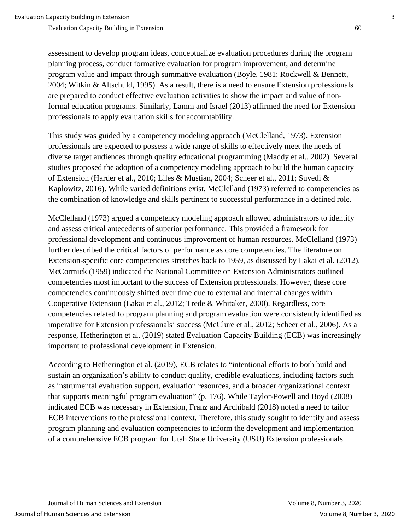assessment to develop program ideas, conceptualize evaluation procedures during the program planning process, conduct formative evaluation for program improvement, and determine program value and impact through summative evaluation (Boyle, 1981; Rockwell & Bennett, 2004; Witkin & Altschuld, 1995). As a result, there is a need to ensure Extension professionals are prepared to conduct effective evaluation activities to show the impact and value of nonformal education programs. Similarly, Lamm and Israel (2013) affirmed the need for Extension professionals to apply evaluation skills for accountability.

This study was guided by a competency modeling approach (McClelland, 1973). Extension professionals are expected to possess a wide range of skills to effectively meet the needs of diverse target audiences through quality educational programming (Maddy et al., 2002). Several studies proposed the adoption of a competency modeling approach to build the human capacity of Extension (Harder et al., 2010; Liles & Mustian, 2004; Scheer et al., 2011; Suvedi & Kaplowitz, 2016). While varied definitions exist, McClelland (1973) referred to competencies as the combination of knowledge and skills pertinent to successful performance in a defined role.

McClelland (1973) argued a competency modeling approach allowed administrators to identify and assess critical antecedents of superior performance. This provided a framework for professional development and continuous improvement of human resources. McClelland (1973) further described the critical factors of performance as core competencies. The literature on Extension-specific core competencies stretches back to 1959, as discussed by Lakai et al. (2012). McCormick (1959) indicated the National Committee on Extension Administrators outlined competencies most important to the success of Extension professionals. However, these core competencies continuously shifted over time due to external and internal changes within Cooperative Extension (Lakai et al., 2012; Trede & Whitaker, 2000). Regardless, core competencies related to program planning and program evaluation were consistently identified as imperative for Extension professionals' success (McClure et al., 2012; Scheer et al., 2006). As a response, Hetherington et al. (2019) stated Evaluation Capacity Building (ECB) was increasingly important to professional development in Extension.

According to Hetherington et al. (2019), ECB relates to "intentional efforts to both build and sustain an organization's ability to conduct quality, credible evaluations, including factors such as instrumental evaluation support, evaluation resources, and a broader organizational context that supports meaningful program evaluation" (p. 176). While Taylor-Powell and Boyd (2008) indicated ECB was necessary in Extension, Franz and Archibald (2018) noted a need to tailor ECB interventions to the professional context. Therefore, this study sought to identify and assess program planning and evaluation competencies to inform the development and implementation of a comprehensive ECB program for Utah State University (USU) Extension professionals.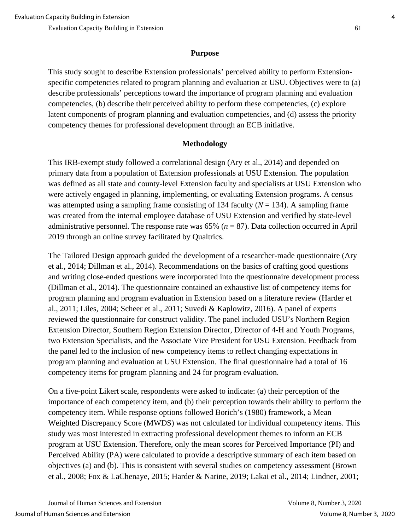### **Purpose**

This study sought to describe Extension professionals' perceived ability to perform Extensionspecific competencies related to program planning and evaluation at USU. Objectives were to (a) describe professionals' perceptions toward the importance of program planning and evaluation competencies, (b) describe their perceived ability to perform these competencies, (c) explore latent components of program planning and evaluation competencies, and (d) assess the priority competency themes for professional development through an ECB initiative.

### **Methodology**

This IRB-exempt study followed a correlational design (Ary et al., 2014) and depended on primary data from a population of Extension professionals at USU Extension. The population was defined as all state and county-level Extension faculty and specialists at USU Extension who were actively engaged in planning, implementing, or evaluating Extension programs. A census was attempted using a sampling frame consisting of 134 faculty  $(N = 134)$ . A sampling frame was created from the internal employee database of USU Extension and verified by state-level administrative personnel. The response rate was 65% (*n* = 87). Data collection occurred in April 2019 through an online survey facilitated by Qualtrics.

The Tailored Design approach guided the development of a researcher-made questionnaire (Ary et al., 2014; Dillman et al., 2014). Recommendations on the basics of crafting good questions and writing close-ended questions were incorporated into the questionnaire development process (Dillman et al., 2014). The questionnaire contained an exhaustive list of competency items for program planning and program evaluation in Extension based on a literature review (Harder et al., 2011; Liles, 2004; Scheer et al., 2011; Suvedi & Kaplowitz, 2016). A panel of experts reviewed the questionnaire for construct validity. The panel included USU's Northern Region Extension Director, Southern Region Extension Director, Director of 4-H and Youth Programs, two Extension Specialists, and the Associate Vice President for USU Extension. Feedback from the panel led to the inclusion of new competency items to reflect changing expectations in program planning and evaluation at USU Extension. The final questionnaire had a total of 16 competency items for program planning and 24 for program evaluation.

On a five-point Likert scale, respondents were asked to indicate: (a) their perception of the importance of each competency item, and (b) their perception towards their ability to perform the competency item. While response options followed Borich's (1980) framework, a Mean Weighted Discrepancy Score (MWDS) was not calculated for individual competency items. This study was most interested in extracting professional development themes to inform an ECB program at USU Extension. Therefore, only the mean scores for Perceived Importance (PI) and Perceived Ability (PA) were calculated to provide a descriptive summary of each item based on objectives (a) and (b). This is consistent with several studies on competency assessment (Brown et al., 2008; Fox & LaChenaye, 2015; Harder & Narine, 2019; Lakai et al., 2014; Lindner, 2001;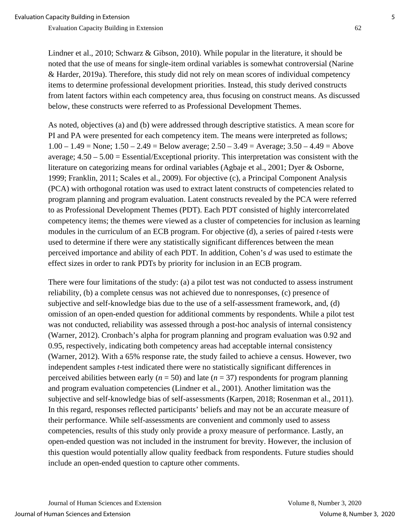Lindner et al., 2010; Schwarz & Gibson, 2010). While popular in the literature, it should be noted that the use of means for single-item ordinal variables is somewhat controversial (Narine & Harder, 2019a). Therefore, this study did not rely on mean scores of individual competency items to determine professional development priorities. Instead, this study derived constructs from latent factors within each competency area, thus focusing on construct means. As discussed below, these constructs were referred to as Professional Development Themes.

As noted, objectives (a) and (b) were addressed through descriptive statistics. A mean score for PI and PA were presented for each competency item. The means were interpreted as follows;  $1.00 - 1.49$  = None;  $1.50 - 2.49$  = Below average;  $2.50 - 3.49$  = Average;  $3.50 - 4.49$  = Above average; 4.50 – 5.00 = Essential/Exceptional priority. This interpretation was consistent with the literature on categorizing means for ordinal variables (Agbaje et al., 2001; Dyer & Osborne, 1999; Franklin, 2011; Scales et al., 2009). For objective (c), a Principal Component Analysis (PCA) with orthogonal rotation was used to extract latent constructs of competencies related to program planning and program evaluation. Latent constructs revealed by the PCA were referred to as Professional Development Themes (PDT). Each PDT consisted of highly intercorrelated competency items; the themes were viewed as a cluster of competencies for inclusion as learning modules in the curriculum of an ECB program. For objective (d), a series of paired *t*-tests were used to determine if there were any statistically significant differences between the mean perceived importance and ability of each PDT. In addition, Cohen's *d* was used to estimate the effect sizes in order to rank PDTs by priority for inclusion in an ECB program.

There were four limitations of the study: (a) a pilot test was not conducted to assess instrument reliability, (b) a complete census was not achieved due to nonresponses, (c) presence of subjective and self-knowledge bias due to the use of a self-assessment framework, and, (d) omission of an open-ended question for additional comments by respondents. While a pilot test was not conducted, reliability was assessed through a post-hoc analysis of internal consistency (Warner, 2012). Cronbach's alpha for program planning and program evaluation was 0.92 and 0.95, respectively, indicating both competency areas had acceptable internal consistency (Warner, 2012). With a 65% response rate, the study failed to achieve a census. However, two independent samples *t*-test indicated there were no statistically significant differences in perceived abilities between early ( $n = 50$ ) and late ( $n = 37$ ) respondents for program planning and program evaluation competencies (Lindner et al., 2001). Another limitation was the subjective and self-knowledge bias of self-assessments (Karpen, 2018; Rosenman et al., 2011). In this regard, responses reflected participants' beliefs and may not be an accurate measure of their performance. While self-assessments are convenient and commonly used to assess competencies, results of this study only provide a proxy measure of performance. Lastly, an open-ended question was not included in the instrument for brevity. However, the inclusion of this question would potentially allow quality feedback from respondents. Future studies should include an open-ended question to capture other comments.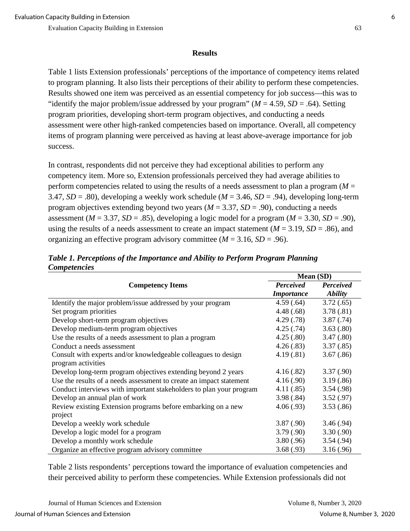#### **Results**

Table 1 lists Extension professionals' perceptions of the importance of competency items related to program planning. It also lists their perceptions of their ability to perform these competencies. Results showed one item was perceived as an essential competency for job success—this was to "identify the major problem/issue addressed by your program" ( $M = 4.59$ ,  $SD = .64$ ). Setting program priorities, developing short-term program objectives, and conducting a needs assessment were other high-ranked competencies based on importance. Overall, all competency items of program planning were perceived as having at least above-average importance for job success.

In contrast, respondents did not perceive they had exceptional abilities to perform any competency item. More so, Extension professionals perceived they had average abilities to perform competencies related to using the results of a needs assessment to plan a program (*M* = 3.47, *SD* = .80), developing a weekly work schedule (*M* = 3.46, *SD* = .94), developing long-term program objectives extending beyond two years (*M* = 3.37, *SD* = .90), conducting a needs assessment ( $M = 3.37$ ,  $SD = .85$ ), developing a logic model for a program ( $M = 3.30$ ,  $SD = .90$ ), using the results of a needs assessment to create an impact statement ( $M = 3.19$ ,  $SD = .86$ ), and organizing an effective program advisory committee (*M* = 3.16, *SD* = .96).

|                                                                     | Mean (SD)         |                       |  |
|---------------------------------------------------------------------|-------------------|-----------------------|--|
| <b>Competency Items</b>                                             | <b>Perceived</b>  | <b>Perceived</b>      |  |
|                                                                     | <b>Importance</b> | <i><b>Ability</b></i> |  |
| Identify the major problem/issue addressed by your program          | 4.59(.64)         | 3.72(.65)             |  |
| Set program priorities                                              | 4.48(.68)         | 3.78(.81)             |  |
| Develop short-term program objectives                               | 4.29(.78)         | 3.87(.74)             |  |
| Develop medium-term program objectives                              | 4.25(.74)         | 3.63(.80)             |  |
| Use the results of a needs assessment to plan a program             | 4.25(.80)         | 3.47(.80)             |  |
| Conduct a needs assessment                                          | 4.26(.83)         | 3.37(.85)             |  |
| Consult with experts and/or knowledgeable colleagues to design      | 4.19(.81)         | 3.67(.86)             |  |
| program activities                                                  |                   |                       |  |
| Develop long-term program objectives extending beyond 2 years       | 4.16(.82)         | 3.37(.90)             |  |
| Use the results of a needs assessment to create an impact statement | 4.16(.90)         | 3.19(.86)             |  |
| Conduct interviews with important stakeholders to plan your program | 4.11(.85)         | 3.54(.98)             |  |
| Develop an annual plan of work                                      | 3.98(.84)         | 3.52(.97)             |  |
| Review existing Extension programs before embarking on a new        | 4.06(.93)         | 3.53(.86)             |  |
| project                                                             |                   |                       |  |
| Develop a weekly work schedule                                      | 3.87(.90)         | 3.46(.94)             |  |
| Develop a logic model for a program                                 | 3.79(.90)         | 3.30(.90)             |  |
| Develop a monthly work schedule                                     | 3.80(.96)         | 3.54(.94)             |  |
| Organize an effective program advisory committee                    | 3.68(.93)         | 3.16(.96)             |  |

*Table 1. Perceptions of the Importance and Ability to Perform Program Planning Competencies*

Table 2 lists respondents' perceptions toward the importance of evaluation competencies and their perceived ability to perform these competencies. While Extension professionals did not

Journal of Human Sciences and Extension Volume 8, Number 3, 2020 Journal of Human Sciences and Extension Volume 8, Number 3, 2020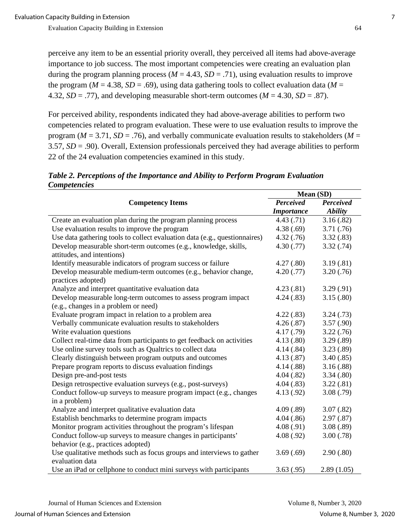perceive any item to be an essential priority overall, they perceived all items had above-average importance to job success. The most important competencies were creating an evaluation plan during the program planning process ( $M = 4.43$ ,  $SD = .71$ ), using evaluation results to improve the program ( $M = 4.38$ ,  $SD = .69$ ), using data gathering tools to collect evaluation data ( $M =$ 4.32,  $SD = .77$ ), and developing measurable short-term outcomes ( $M = 4.30$ ,  $SD = .87$ ).

For perceived ability, respondents indicated they had above-average abilities to perform two competencies related to program evaluation. These were to use evaluation results to improve the program ( $M = 3.71$ ,  $SD = .76$ ), and verbally communicate evaluation results to stakeholders ( $M =$ 3.57, *SD* = .90). Overall, Extension professionals perceived they had average abilities to perform 22 of the 24 evaluation competencies examined in this study.

*Table 2. Perceptions of the Importance and Ability to Perform Program Evaluation Competencies*

|                                                                            | Mean(SD)          |                |  |
|----------------------------------------------------------------------------|-------------------|----------------|--|
| <b>Competency Items</b>                                                    | Perceived         | Perceived      |  |
|                                                                            | <b>Importance</b> | <b>Ability</b> |  |
| Create an evaluation plan during the program planning process              | 4.43(.71)         | 3.16(.82)      |  |
| Use evaluation results to improve the program                              | 4.38(.69)         | 3.71(.76)      |  |
| Use data gathering tools to collect evaluation data (e.g., questionnaires) | 4.32(.76)         | 3.32(.83)      |  |
| Develop measurable short-term outcomes (e.g., knowledge, skills,           | 4.30(.77)         | 3.32(.74)      |  |
| attitudes, and intentions)                                                 |                   |                |  |
| Identify measurable indicators of program success or failure               | 4.27(.80)         | 3.19(.81)      |  |
| Develop measurable medium-term outcomes (e.g., behavior change,            | 4.20(.77)         | 3.20(.76)      |  |
| practices adopted)                                                         |                   |                |  |
| Analyze and interpret quantitative evaluation data                         | 4.23(.81)         | 3.29(.91)      |  |
| Develop measurable long-term outcomes to assess program impact             | 4.24(.83)         | 3.15(.80)      |  |
| (e.g., changes in a problem or need)                                       |                   |                |  |
| Evaluate program impact in relation to a problem area                      | 4.22(.83)         | 3.24(.73)      |  |
| Verbally communicate evaluation results to stakeholders                    | 4.26(.87)         | 3.57(.90)      |  |
| Write evaluation questions                                                 | 4.17(0.79)        | 3.22(.76)      |  |
| Collect real-time data from participants to get feedback on activities     | 4.13(.80)         | 3.29(.89)      |  |
| Use online survey tools such as Qualtrics to collect data                  | 4.14(.84)         | 3.23(.89)      |  |
| Clearly distinguish between program outputs and outcomes                   | 4.13(.87)         | 3.40(.85)      |  |
| Prepare program reports to discuss evaluation findings                     | 4.14(.88)         | 3.16(.88)      |  |
| Design pre-and-post tests                                                  | 4.04(.82)         | 3.34(.80)      |  |
| Design retrospective evaluation surveys (e.g., post-surveys)               | 4.04(.83)         | 3.22(.81)      |  |
| Conduct follow-up surveys to measure program impact (e.g., changes         | 4.13(0.92)        | 3.08(.79)      |  |
| in a problem)                                                              |                   |                |  |
| Analyze and interpret qualitative evaluation data                          | 4.09(.89)         | 3.07(.82)      |  |
| Establish benchmarks to determine program impacts                          | 4.04(.86)         | 2.97(.87)      |  |
| Monitor program activities throughout the program's lifespan               | 4.08(.91)         | 3.08(.89)      |  |
| Conduct follow-up surveys to measure changes in participants'              | 4.08(.92)         | 3.00(.78)      |  |
| behavior (e.g., practices adopted)                                         |                   |                |  |
| Use qualitative methods such as focus groups and interviews to gather      | 3.69(.69)         | 2.90(.80)      |  |
| evaluation data                                                            |                   |                |  |
| Use an iPad or cellphone to conduct mini surveys with participants         | 3.63(.95)         | 2.89(1.05)     |  |

**Mean (SD)**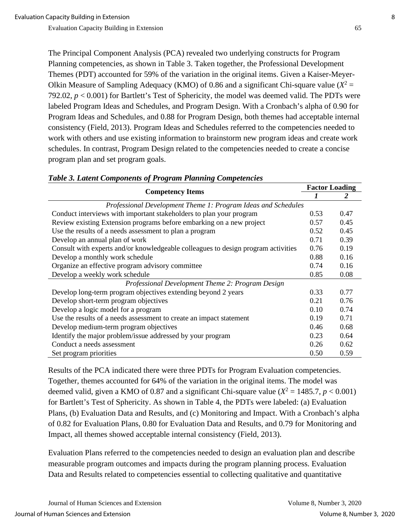The Principal Component Analysis (PCA) revealed two underlying constructs for Program Planning competencies, as shown in Table 3. Taken together, the Professional Development Themes (PDT) accounted for 59% of the variation in the original items. Given a Kaiser-Meyer-Olkin Measure of Sampling Adequacy (KMO) of 0.86 and a significant Chi-square value ( $X^2$  = 792.02,  $p < 0.001$ ) for Bartlett's Test of Sphericity, the model was deemed valid. The PDTs were labeled Program Ideas and Schedules, and Program Design. With a Cronbach's alpha of 0.90 for Program Ideas and Schedules, and 0.88 for Program Design, both themes had acceptable internal consistency (Field, 2013). Program Ideas and Schedules referred to the competencies needed to work with others and use existing information to brainstorm new program ideas and create work schedules. In contrast, Program Design related to the competencies needed to create a concise program plan and set program goals.

| <b>Competency Items</b>                                                           |      | <b>Factor Loading</b> |
|-----------------------------------------------------------------------------------|------|-----------------------|
|                                                                                   |      | 2                     |
| Professional Development Theme 1: Program Ideas and Schedules                     |      |                       |
| Conduct interviews with important stakeholders to plan your program               | 0.53 | 0.47                  |
| Review existing Extension programs before embarking on a new project              | 0.57 | 0.45                  |
| Use the results of a needs assessment to plan a program                           | 0.52 | 0.45                  |
| Develop an annual plan of work                                                    | 0.71 | 0.39                  |
| Consult with experts and/or knowledgeable colleagues to design program activities | 0.76 | 0.19                  |
| Develop a monthly work schedule                                                   | 0.88 | 0.16                  |
| Organize an effective program advisory committee                                  | 0.74 | 0.16                  |
| Develop a weekly work schedule                                                    | 0.85 | 0.08                  |
| Professional Development Theme 2: Program Design                                  |      |                       |
| Develop long-term program objectives extending beyond 2 years                     | 0.33 | 0.77                  |
| Develop short-term program objectives                                             | 0.21 | 0.76                  |
| Develop a logic model for a program                                               | 0.10 | 0.74                  |
| Use the results of a needs assessment to create an impact statement               | 0.19 | 0.71                  |
| Develop medium-term program objectives                                            | 0.46 | 0.68                  |
| Identify the major problem/issue addressed by your program                        | 0.23 | 0.64                  |
| Conduct a needs assessment                                                        | 0.26 | 0.62                  |
| Set program priorities                                                            | 0.50 | 0.59                  |

#### *Table 3. Latent Components of Program Planning Competencies*

Results of the PCA indicated there were three PDTs for Program Evaluation competencies. Together, themes accounted for 64% of the variation in the original items. The model was deemed valid, given a KMO of 0.87 and a significant Chi-square value  $(X^2 = 1485.7, p < 0.001)$ for Bartlett's Test of Sphericity. As shown in Table 4, the PDTs were labeled: (a) Evaluation Plans, (b) Evaluation Data and Results, and (c) Monitoring and Impact. With a Cronbach's alpha of 0.82 for Evaluation Plans, 0.80 for Evaluation Data and Results, and 0.79 for Monitoring and Impact, all themes showed acceptable internal consistency (Field, 2013).

Evaluation Plans referred to the competencies needed to design an evaluation plan and describe measurable program outcomes and impacts during the program planning process. Evaluation Data and Results related to competencies essential to collecting qualitative and quantitative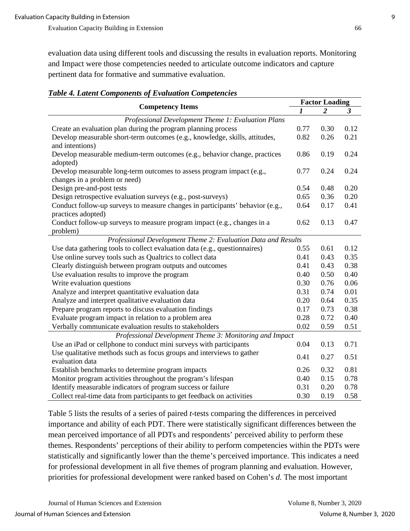evaluation data using different tools and discussing the results in evaluation reports. Monitoring and Impact were those competencies needed to articulate outcome indicators and capture pertinent data for formative and summative evaluation.

| <b>Table 4. Latent Components of Evaluation Competencies</b> |
|--------------------------------------------------------------|
|--------------------------------------------------------------|

| <b>Competency Items</b>                                                                                |      | <b>Factor Loading</b> |                      |  |  |
|--------------------------------------------------------------------------------------------------------|------|-----------------------|----------------------|--|--|
|                                                                                                        |      | 2                     | $\boldsymbol{\beta}$ |  |  |
| Professional Development Theme 1: Evaluation Plans                                                     |      |                       |                      |  |  |
| Create an evaluation plan during the program planning process                                          | 0.77 | 0.30                  | 0.12                 |  |  |
| Develop measurable short-term outcomes (e.g., knowledge, skills, attitudes,<br>and intentions)         | 0.82 | 0.26                  | 0.21                 |  |  |
| Develop measurable medium-term outcomes (e.g., behavior change, practices<br>adopted)                  | 0.86 | 0.19                  | 0.24                 |  |  |
| Develop measurable long-term outcomes to assess program impact (e.g.,<br>changes in a problem or need) | 0.77 | 0.24                  | 0.24                 |  |  |
| Design pre-and-post tests                                                                              | 0.54 | 0.48                  | 0.20                 |  |  |
| Design retrospective evaluation surveys (e.g., post-surveys)                                           | 0.65 | 0.36                  | 0.20                 |  |  |
| Conduct follow-up surveys to measure changes in participants' behavior (e.g.,                          | 0.64 | 0.17                  | 0.41                 |  |  |
| practices adopted)<br>Conduct follow-up surveys to measure program impact (e.g., changes in a          | 0.62 | 0.13                  | 0.47                 |  |  |
| problem)                                                                                               |      |                       |                      |  |  |
| Professional Development Theme 2: Evaluation Data and Results                                          |      |                       |                      |  |  |
| Use data gathering tools to collect evaluation data (e.g., questionnaires)                             | 0.55 | 0.61                  | 0.12                 |  |  |
| Use online survey tools such as Qualtrics to collect data                                              | 0.41 | 0.43                  | 0.35                 |  |  |
| Clearly distinguish between program outputs and outcomes                                               | 0.41 | 0.43                  | 0.38                 |  |  |
| Use evaluation results to improve the program                                                          | 0.40 | 0.50                  | 0.40                 |  |  |
| Write evaluation questions                                                                             | 0.30 | 0.76                  | 0.06                 |  |  |
| Analyze and interpret quantitative evaluation data                                                     | 0.31 | 0.74                  | 0.01                 |  |  |
| Analyze and interpret qualitative evaluation data                                                      | 0.20 | 0.64                  | 0.35                 |  |  |
| Prepare program reports to discuss evaluation findings                                                 | 0.17 | 0.73                  | 0.38                 |  |  |
| Evaluate program impact in relation to a problem area                                                  |      | 0.72                  | 0.40                 |  |  |
| Verbally communicate evaluation results to stakeholders                                                | 0.02 | 0.59                  | 0.51                 |  |  |
| Professional Development Theme 3: Monitoring and Impact                                                |      |                       |                      |  |  |
| Use an iPad or cellphone to conduct mini surveys with participants                                     | 0.04 | 0.13                  | 0.71                 |  |  |
| Use qualitative methods such as focus groups and interviews to gather<br>evaluation data               | 0.41 | 0.27                  | 0.51                 |  |  |
| Establish benchmarks to determine program impacts                                                      | 0.26 | 0.32                  | 0.81                 |  |  |
| Monitor program activities throughout the program's lifespan                                           | 0.40 | 0.15                  | 0.78                 |  |  |
| Identify measurable indicators of program success or failure                                           | 0.31 | 0.20                  | 0.78                 |  |  |
|                                                                                                        | 0.30 | 0.19                  | 0.58                 |  |  |
| Collect real-time data from participants to get feedback on activities                                 |      |                       |                      |  |  |

Table 5 lists the results of a series of paired *t*-tests comparing the differences in perceived importance and ability of each PDT. There were statistically significant differences between the mean perceived importance of all PDTs and respondents' perceived ability to perform these themes. Respondents' perceptions of their ability to perform competencies within the PDTs were statistically and significantly lower than the theme's perceived importance. This indicates a need for professional development in all five themes of program planning and evaluation. However, priorities for professional development were ranked based on Cohen's *d.* The most important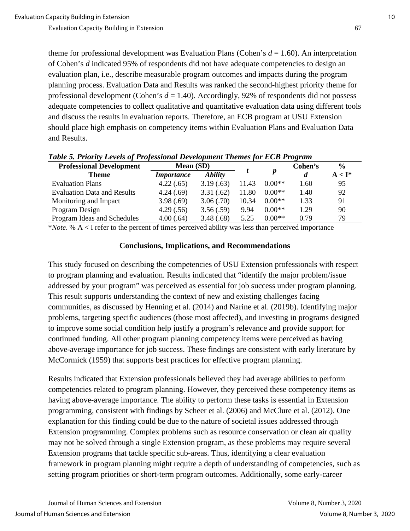theme for professional development was Evaluation Plans (Cohen's  $d = 1.60$ ). An interpretation of Cohen's *d* indicated 95% of respondents did not have adequate competencies to design an evaluation plan, i.e., describe measurable program outcomes and impacts during the program planning process. Evaluation Data and Results was ranked the second-highest priority theme for professional development (Cohen's *d* = 1.40). Accordingly, 92% of respondents did not possess adequate competencies to collect qualitative and quantitative evaluation data using different tools and discuss the results in evaluation reports. Therefore, an ECB program at USU Extension should place high emphasis on competency items within Evaluation Plans and Evaluation Data and Results.

| <b>Professional Development</b>    | <b>Mean (SD)</b>  |                |       |          | Cohen's | $\frac{0}{0}$ |
|------------------------------------|-------------------|----------------|-------|----------|---------|---------------|
| Theme                              | <i>Importance</i> | <b>Ability</b> |       | p        | d       | $A < I^*$     |
| <b>Evaluation Plans</b>            | 4.22(.65)         | 3.19(.63)      | 11.43 | $0.00**$ | 1.60    | 95            |
| <b>Evaluation Data and Results</b> | 4.24(.69)         | 3.31(.62)      | 11.80 | $0.00**$ | 1.40    | 92            |
| Monitoring and Impact              | 3.98(.69)         | 3.06(.70)      | 10.34 | $0.00**$ | 1.33    | 91            |
| Program Design                     | 4.29(.56)         | 3.56(.59)      | 9.94  | $0.00**$ | 1.29    | 90            |
| Program Ideas and Schedules        | 4.00(.64)         | 3.48(.68)      | 5.25  | $0.00**$ | 0.79    | 79            |

*Table 5. Priority Levels of Professional Development Themes for ECB Program* 

\**Note*. % A < I refer to the percent of times perceived ability was less than perceived importance

#### **Conclusions, Implications, and Recommendations**

This study focused on describing the competencies of USU Extension professionals with respect to program planning and evaluation. Results indicated that "identify the major problem/issue addressed by your program" was perceived as essential for job success under program planning. This result supports understanding the context of new and existing challenges facing communities, as discussed by Henning et al. (2014) and Narine et al. (2019b). Identifying major problems, targeting specific audiences (those most affected), and investing in programs designed to improve some social condition help justify a program's relevance and provide support for continued funding. All other program planning competency items were perceived as having above-average importance for job success. These findings are consistent with early literature by McCormick (1959) that supports best practices for effective program planning.

Results indicated that Extension professionals believed they had average abilities to perform competencies related to program planning. However, they perceived these competency items as having above-average importance. The ability to perform these tasks is essential in Extension programming, consistent with findings by Scheer et al. (2006) and McClure et al. (2012). One explanation for this finding could be due to the nature of societal issues addressed through Extension programming. Complex problems such as resource conservation or clean air quality may not be solved through a single Extension program, as these problems may require several Extension programs that tackle specific sub-areas. Thus, identifying a clear evaluation framework in program planning might require a depth of understanding of competencies, such as setting program priorities or short-term program outcomes. Additionally, some early-career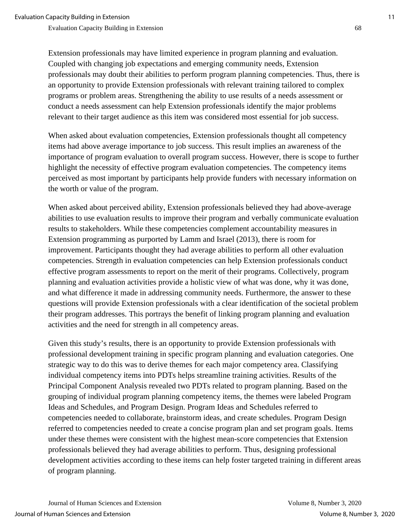Extension professionals may have limited experience in program planning and evaluation. Coupled with changing job expectations and emerging community needs, Extension professionals may doubt their abilities to perform program planning competencies. Thus, there is an opportunity to provide Extension professionals with relevant training tailored to complex programs or problem areas. Strengthening the ability to use results of a needs assessment or conduct a needs assessment can help Extension professionals identify the major problems relevant to their target audience as this item was considered most essential for job success.

When asked about evaluation competencies, Extension professionals thought all competency items had above average importance to job success. This result implies an awareness of the importance of program evaluation to overall program success. However, there is scope to further highlight the necessity of effective program evaluation competencies. The competency items perceived as most important by participants help provide funders with necessary information on the worth or value of the program.

When asked about perceived ability, Extension professionals believed they had above-average abilities to use evaluation results to improve their program and verbally communicate evaluation results to stakeholders. While these competencies complement accountability measures in Extension programming as purported by Lamm and Israel (2013), there is room for improvement. Participants thought they had average abilities to perform all other evaluation competencies. Strength in evaluation competencies can help Extension professionals conduct effective program assessments to report on the merit of their programs. Collectively, program planning and evaluation activities provide a holistic view of what was done, why it was done, and what difference it made in addressing community needs. Furthermore, the answer to these questions will provide Extension professionals with a clear identification of the societal problem their program addresses. This portrays the benefit of linking program planning and evaluation activities and the need for strength in all competency areas.

Given this study's results, there is an opportunity to provide Extension professionals with professional development training in specific program planning and evaluation categories. One strategic way to do this was to derive themes for each major competency area. Classifying individual competency items into PDTs helps streamline training activities. Results of the Principal Component Analysis revealed two PDTs related to program planning. Based on the grouping of individual program planning competency items, the themes were labeled Program Ideas and Schedules, and Program Design. Program Ideas and Schedules referred to competencies needed to collaborate, brainstorm ideas, and create schedules. Program Design referred to competencies needed to create a concise program plan and set program goals. Items under these themes were consistent with the highest mean-score competencies that Extension professionals believed they had average abilities to perform. Thus, designing professional development activities according to these items can help foster targeted training in different areas of program planning.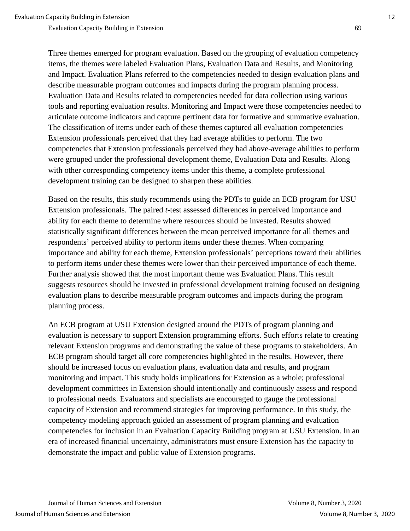Three themes emerged for program evaluation. Based on the grouping of evaluation competency items, the themes were labeled Evaluation Plans, Evaluation Data and Results, and Monitoring and Impact. Evaluation Plans referred to the competencies needed to design evaluation plans and describe measurable program outcomes and impacts during the program planning process. Evaluation Data and Results related to competencies needed for data collection using various tools and reporting evaluation results. Monitoring and Impact were those competencies needed to articulate outcome indicators and capture pertinent data for formative and summative evaluation. The classification of items under each of these themes captured all evaluation competencies Extension professionals perceived that they had average abilities to perform. The two competencies that Extension professionals perceived they had above-average abilities to perform were grouped under the professional development theme, Evaluation Data and Results. Along with other corresponding competency items under this theme, a complete professional development training can be designed to sharpen these abilities.

Based on the results, this study recommends using the PDTs to guide an ECB program for USU Extension professionals. The paired *t*-test assessed differences in perceived importance and ability for each theme to determine where resources should be invested. Results showed statistically significant differences between the mean perceived importance for all themes and respondents' perceived ability to perform items under these themes. When comparing importance and ability for each theme, Extension professionals' perceptions toward their abilities to perform items under these themes were lower than their perceived importance of each theme. Further analysis showed that the most important theme was Evaluation Plans. This result suggests resources should be invested in professional development training focused on designing evaluation plans to describe measurable program outcomes and impacts during the program planning process.

An ECB program at USU Extension designed around the PDTs of program planning and evaluation is necessary to support Extension programming efforts. Such efforts relate to creating relevant Extension programs and demonstrating the value of these programs to stakeholders. An ECB program should target all core competencies highlighted in the results. However, there should be increased focus on evaluation plans, evaluation data and results, and program monitoring and impact. This study holds implications for Extension as a whole; professional development committees in Extension should intentionally and continuously assess and respond to professional needs. Evaluators and specialists are encouraged to gauge the professional capacity of Extension and recommend strategies for improving performance. In this study, the competency modeling approach guided an assessment of program planning and evaluation competencies for inclusion in an Evaluation Capacity Building program at USU Extension. In an era of increased financial uncertainty, administrators must ensure Extension has the capacity to demonstrate the impact and public value of Extension programs.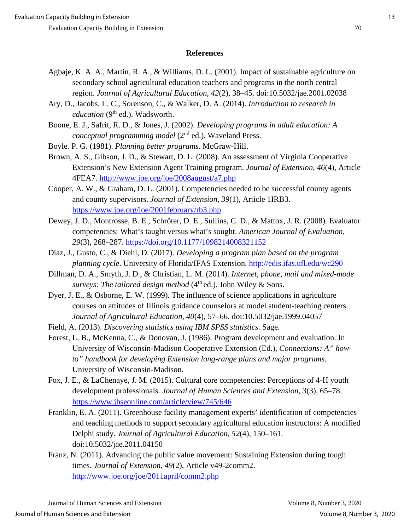### **References**

- Agbaje, K. A. A., Martin, R. A., & Williams, D. L. (2001). Impact of sustainable agriculture on secondary school agricultural education teachers and programs in the north central region. *Journal of Agricultural Education, 42*(2), 38–45. doi:10.5032/jae.2001.02038
- Ary, D., Jacobs, L. C., Sorenson, C., & Walker, D. A. (2014). *Introduction to research in education* (9<sup>th</sup> ed.). Wadsworth.
- Boone, E. J., Safrit, R. D., & Jones, J. (2002). *Developing programs in adult education: A conceptual programming model* (2<sup>nd</sup> ed.). Waveland Press.
- Boyle. P. G. (1981). *Planning better programs.* McGraw-Hill.
- Brown, A. S., Gibson, J. D., & Stewart, D. L. (2008). An assessment of Virginia Cooperative Extension's New Extension Agent Training program. *Journal of Extension, 46*(4), Article 4FEA7.<http://www.joe.org/joe/2008august/a7.php>
- Cooper, A. W., & Graham, D. L. (2001). Competencies needed to be successful county agents and county supervisors. *Journal of Extension, 39*(1), Article 1IRB3. <https://www.joe.org/joe/2001february/rb3.php>
- Dewey, J. D., Montrosse, B. E., Schröter, D. E., Sullins, C. D., & Mattox, J. R. (2008). Evaluator competencies: What's taught versus what's sought. *American Journal of Evaluation, 29*(3), 268–287.<https://doi.org/10.1177/1098214008321152>
- Diaz, J., Gusto, C., & Diehl, D. (2017). *Developing a program plan based on the program planning cycle*. University of Florida/IFAS Extension.<http://edis.ifas.ufl.edu/wc290>
- Dillman, D. A., Smyth, J. D., & Christian, L. M. (2014). *Internet, phone, mail and mixed-mode surveys: The tailored design method*  $(4<sup>th</sup>$ ed.). John Wiley & Sons.
- Dyer, J. E., & Osborne, E. W. (1999). The influence of science applications in agriculture courses on attitudes of Illinois guidance counselors at model student-teaching centers. *Journal of Agricultural Education, 40*(4), 57–66. doi:10.5032/jae.1999.04057
- Field, A. (2013). *Discovering statistics using IBM SPSS statistics*. Sage.
- Forest, L. B., McKenna, C., & Donovan, J. (1986). Program development and evaluation. In University of Wisconsin-Madison Cooperative Extension (Ed.), *Connections: A" howto" handbook for developing Extension long-range plans and major programs*. University of Wisconsin-Madison.
- Fox, J. E., & LaChenaye, J. M. (2015). Cultural core competencies: Perceptions of 4-H youth development professionals. *Journal of Human Sciences and Extension, 3*(3), 65–78. <https://www.jhseonline.com/article/view/745/646>
- Franklin, E. A. (2011). Greenhouse facility management experts' identification of competencies and teaching methods to support secondary agricultural education instructors: A modified Delphi study. *Journal of Agricultural Education, 52*(4), 150–161. doi:10.5032/jae.2011.04150
- Franz, N. (2011). Advancing the public value movement: Sustaining Extension during tough times. *Journal of Extension, 49*(2), Article v49-2comm2. <http://www.joe.org/joe/2011april/comm2.php>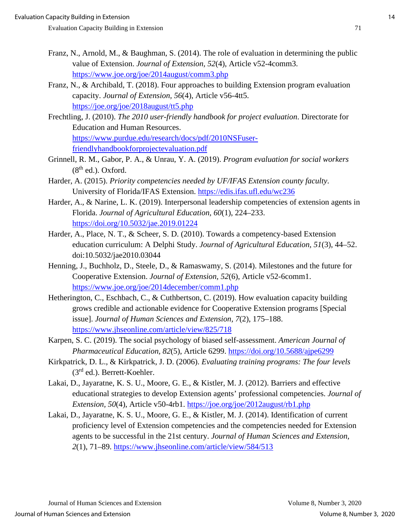- Franz, N., Arnold, M., & Baughman, S. (2014). The role of evaluation in determining the public value of Extension. *Journal of Extension, 52*(4), Article v52-4comm3. <https://www.joe.org/joe/2014august/comm3.php>
- Franz, N., & Archibald, T. (2018). Four approaches to building Extension program evaluation capacity. *Journal of Extension, 56*(4), Article v56-4tt5. <https://joe.org/joe/2018august/tt5.php>
- Frechtling, J. (2010). *The 2010 user-friendly handbook for project evaluation*. Directorate for Education and Human Resources. [https://www.purdue.edu/research/docs/pdf/2010NSFuser](https://www.purdue.edu/research/docs/pdf/2010NSFuser-friendlyhandbookforprojectevaluation.pdf)[friendlyhandbookforprojectevaluation.pdf](https://www.purdue.edu/research/docs/pdf/2010NSFuser-friendlyhandbookforprojectevaluation.pdf)
- Grinnell, R. M., Gabor, P. A., & Unrau, Y. A. (2019). *Program evaluation for social workers*   $(8<sup>th</sup>$  ed.). Oxford.
- Harder, A. (2015). *Priority competencies needed by UF/IFAS Extension county faculty*. University of Florida/IFAS Extension.<https://edis.ifas.ufl.edu/wc236>
- Harder, A., & Narine, L. K. (2019). Interpersonal leadership competencies of extension agents in Florida. *Journal of Agricultural Education, 60*(1), 224–233. <https://doi.org/10.5032/jae.2019.01224>
- Harder, A., Place, N. T., & Scheer, S. D. (2010). Towards a competency-based Extension education curriculum: A Delphi Study. *Journal of Agricultural Education, 51*(3), 44–52. doi:10.5032/jae2010.03044
- Henning, J., Buchholz, D., Steele, D., & Ramaswamy, S. (2014). Milestones and the future for Cooperative Extension. *Journal of Extension, 52*(6), Article v52-6comm1. <https://www.joe.org/joe/2014december/comm1.php>
- Hetherington, C., Eschbach, C., & Cuthbertson, C. (2019). How evaluation capacity building grows credible and actionable evidence for Cooperative Extension programs [Special issue]. *Journal of Human Sciences and Extension, 7*(2), 175–188. <https://www.jhseonline.com/article/view/825/718>
- Karpen, S. C. (2019). The social psychology of biased self-assessment. *American Journal of Pharmaceutical Education, 82*(5), Article 6299.<https://doi.org/10.5688/ajpe6299>
- Kirkpatrick, D. L., & Kirkpatrick, J. D. (2006). *Evaluating training programs: The four levels* (3rd ed.). Berrett-Koehler.
- Lakai, D., Jayaratne, K. S. U., Moore, G. E., & Kistler, M. J. (2012). Barriers and effective educational strategies to develop Extension agents' professional competencies. *Journal of Extension, 50*(4), Article v50-4rb1.<https://joe.org/joe/2012august/rb1.php>
- Lakai, D., Jayaratne, K. S. U., Moore, G. E., & Kistler, M. J. (2014). Identification of current proficiency level of Extension competencies and the competencies needed for Extension agents to be successful in the 21st century. *Journal of Human Sciences and Extension, 2*(1), 71–89.<https://www.jhseonline.com/article/view/584/513>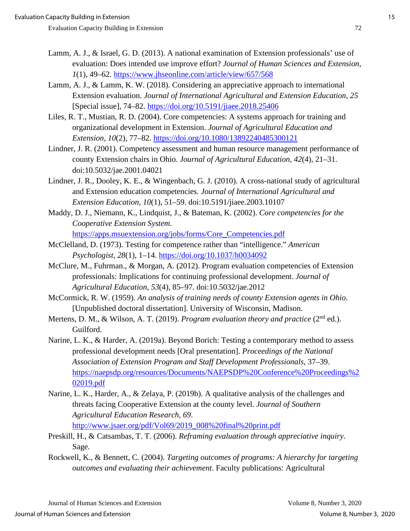- Lamm, A. J., & Israel, G. D. (2013). A national examination of Extension professionals' use of evaluation: Does intended use improve effort? *Journal of Human Sciences and Extension, 1*(1), 49–62.<https://www.jhseonline.com/article/view/657/568>
- Lamm, A. J., & Lamm, K. W. (2018). Considering an appreciative approach to international Extension evaluation. *Journal of International Agricultural and Extension Education, 25*  [Special issue], 74–82.<https://doi.org/10.5191/jiaee.2018.25406>
- Liles, R. T., Mustian, R. D. (2004). Core competencies: A systems approach for training and organizational development in Extension. *Journal of Agricultural Education and Extension, 10*(2), 77–82.<https://doi.org/10.1080/13892240485300121>
- Lindner, J. R. (2001). Competency assessment and human resource management performance of county Extension chairs in Ohio. *Journal of Agricultural Education, 42*(4), 21–31. doi:10.5032/jae.2001.04021
- Lindner, J. R., Dooley, K. E., & Wingenbach, G. J. (2010). A cross-national study of agricultural and Extension education competencies*. Journal of International Agricultural and Extension Education, 10*(1), 51–59. doi:10.5191/jiaee.2003.10107
- Maddy, D. J., Niemann, K., Lindquist, J., & Bateman, K. (2002). *Core competencies for the Cooperative Extension System*. [https://apps.msuextension.org/jobs/forms/Core\\_Competencies.pdf](https://apps.msuextension.org/jobs/forms/Core_Competencies.pdf)

McClelland, D. (1973). Testing for competence rather than "intelligence." *American Psychologist, 28*(1), 1–14.<https://doi.org/10.1037/h0034092>

- McClure, M., Fuhrman., & Morgan, A. (2012). Program evaluation competencies of Extension professionals: Implications for continuing professional development. *Journal of Agricultural Education, 53*(4), 85–97. doi:10.5032/jae.2012
- McCormick, R. W. (1959). *An analysis of training needs of county Extension agents in Ohio*. [Unpublished doctoral dissertation]. University of Wisconsin, Madison.
- Mertens, D. M., & Wilson, A. T. (2019). *Program evaluation theory and practice* (2<sup>nd</sup> ed.). Guilford.
- Narine, L. K., & Harder, A. (2019a). Beyond Borich: Testing a contemporary method to assess professional development needs [Oral presentation]. *Proceedings of the National Association of Extension Program and Staff Development Professionals,* 37–39. [https://naepsdp.org/resources/Documents/NAEPSDP%20Conference%20Proceedings%2](https://naepsdp.org/resources/Documents/NAEPSDP%20Conference%20Proceedings%202019.pdf) [02019.pdf](https://naepsdp.org/resources/Documents/NAEPSDP%20Conference%20Proceedings%202019.pdf)
- Narine, L. K., Harder, A., & Zelaya, P. (2019b). A qualitative analysis of the challenges and threats facing Cooperative Extension at the county level. *Journal of Southern Agricultural Education Research, 69*. [http://www.jsaer.org/pdf/Vol69/2019\\_008%20final%20print.pdf](http://www.jsaer.org/pdf/Vol69/2019_008%20final%20print.pdf)
- Preskill, H., & Catsambas, T. T. (2006). *Reframing evaluation through appreciative inquiry*. Sage.
- Rockwell, K., & Bennett, C. (2004). *Targeting outcomes of programs: A hierarchy for targeting outcomes and evaluating their achievement*. Faculty publications: Agricultural